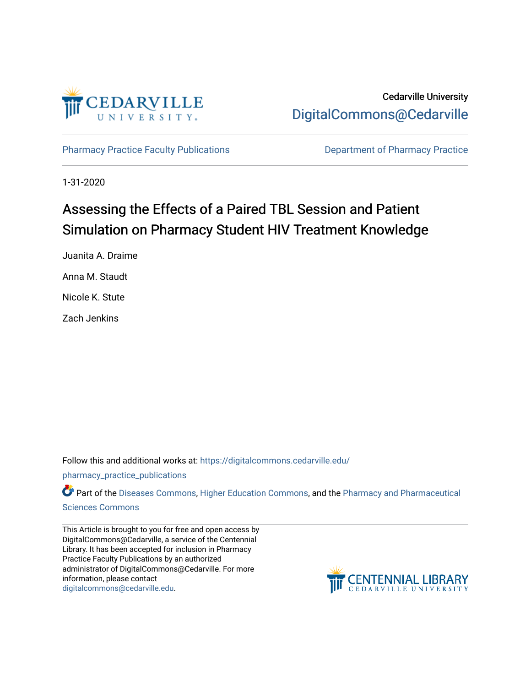

Cedarville University [DigitalCommons@Cedarville](https://digitalcommons.cedarville.edu/) 

[Pharmacy Practice Faculty Publications](https://digitalcommons.cedarville.edu/pharmacy_practice_publications) **Department of Pharmacy Practice** 

1-31-2020

# Assessing the Effects of a Paired TBL Session and Patient Simulation on Pharmacy Student HIV Treatment Knowledge

Juanita A. Draime Anna M. Staudt Nicole K. Stute

Zach Jenkins

Follow this and additional works at: [https://digitalcommons.cedarville.edu/](https://digitalcommons.cedarville.edu/pharmacy_practice_publications?utm_source=digitalcommons.cedarville.edu%2Fpharmacy_practice_publications%2F401&utm_medium=PDF&utm_campaign=PDFCoverPages)

[pharmacy\\_practice\\_publications](https://digitalcommons.cedarville.edu/pharmacy_practice_publications?utm_source=digitalcommons.cedarville.edu%2Fpharmacy_practice_publications%2F401&utm_medium=PDF&utm_campaign=PDFCoverPages)

Part of the [Diseases Commons](http://network.bepress.com/hgg/discipline/813?utm_source=digitalcommons.cedarville.edu%2Fpharmacy_practice_publications%2F401&utm_medium=PDF&utm_campaign=PDFCoverPages), [Higher Education Commons,](http://network.bepress.com/hgg/discipline/1245?utm_source=digitalcommons.cedarville.edu%2Fpharmacy_practice_publications%2F401&utm_medium=PDF&utm_campaign=PDFCoverPages) and the [Pharmacy and Pharmaceutical](http://network.bepress.com/hgg/discipline/731?utm_source=digitalcommons.cedarville.edu%2Fpharmacy_practice_publications%2F401&utm_medium=PDF&utm_campaign=PDFCoverPages)  [Sciences Commons](http://network.bepress.com/hgg/discipline/731?utm_source=digitalcommons.cedarville.edu%2Fpharmacy_practice_publications%2F401&utm_medium=PDF&utm_campaign=PDFCoverPages) 

This Article is brought to you for free and open access by DigitalCommons@Cedarville, a service of the Centennial Library. It has been accepted for inclusion in Pharmacy Practice Faculty Publications by an authorized administrator of DigitalCommons@Cedarville. For more information, please contact [digitalcommons@cedarville.edu](mailto:digitalcommons@cedarville.edu).

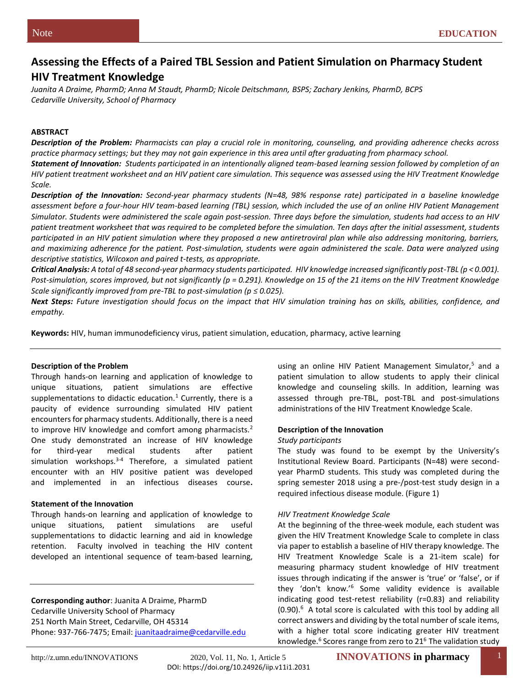# **Assessing the Effects of a Paired TBL Session and Patient Simulation on Pharmacy Student HIV Treatment Knowledge**

*Juanita A Draime, PharmD; Anna M Staudt, PharmD; Nicole Deitschmann, BSPS; Zachary Jenkins, PharmD, BCPS Cedarville University, School of Pharmacy* 

#### **ABSTRACT**

*Description of the Problem: Pharmacists can play a crucial role in monitoring, counseling, and providing adherence checks across practice pharmacy settings; but they may not gain experience in this area until after graduating from pharmacy school.* 

*Statement of Innovation: Students participated in an intentionally aligned team-based learning session followed by completion of an HIV patient treatment worksheet and an HIV patient care simulation. This sequence was assessed using the HIV Treatment Knowledge Scale.*

*Description of the Innovation: Second-year pharmacy students (N=48, 98% response rate) participated in a baseline knowledge assessment before a four-hour HIV team-based learning (TBL) session, which included the use of an online HIV Patient Management Simulator. Students were administered the scale again post-session. Three days before the simulation, students had access to an HIV patient treatment worksheet that was required to be completed before the simulation. Ten days after the initial assessment, students participated in an HIV patient simulation where they proposed a new antiretroviral plan while also addressing monitoring, barriers, and maximizing adherence for the patient. Post-simulation, students were again administered the scale. Data were analyzed using descriptive statistics, Wilcoxon and paired t-tests, as appropriate.*

*Critical Analysis: A total of 48 second-year pharmacy students participated. HIV knowledge increased significantly post-TBL (p < 0.001). Post-simulation, scores improved, but not significantly (p = 0.291). Knowledge on 15 of the 21 items on the HIV Treatment Knowledge Scale significantly improved from pre-TBL to post-simulation (* $p \le 0.025$ *).* 

*Next Steps: Future investigation should focus on the impact that HIV simulation training has on skills, abilities, confidence, and empathy.* 

**Keywords:** HIV, human immunodeficiency virus, patient simulation, education, pharmacy, active learning

#### **Description of the Problem**

Through hands-on learning and application of knowledge to unique situations, patient simulations are effective supplementations to didactic education.<sup>1</sup> Currently, there is a paucity of evidence surrounding simulated HIV patient encounters for pharmacy students. Additionally, there is a need to improve HIV knowledge and comfort among pharmacists.<sup>2</sup> One study demonstrated an increase of HIV knowledge for third-year medical students after patient simulation workshops.<sup>3-4</sup> Therefore, a simulated patient encounter with an HIV positive patient was developed and implemented in an infectious diseases course**.** 

#### **Statement of the Innovation**

Through hands-on learning and application of knowledge to unique situations, patient simulations are useful supplementations to didactic learning and aid in knowledge retention. Faculty involved in teaching the HIV content developed an intentional sequence of team-based learning,

**Corresponding author**: Juanita A Draime, PharmD Cedarville University School of Pharmacy 251 North Main Street, Cedarville, OH 45314 Phone: 937-766-7475; Email: [juanitaadraime@cedarville.edu](mailto:juanitaadraime@cedarville.edu) using an online HIV Patient Management Simulator,<sup>5</sup> and a patient simulation to allow students to apply their clinical knowledge and counseling skills. In addition, learning was assessed through pre-TBL, post-TBL and post-simulations administrations of the HIV Treatment Knowledge Scale.

#### **Description of the Innovation**

#### *Study participants*

The study was found to be exempt by the University's Institutional Review Board. Participants (N=48) were secondyear PharmD students. This study was completed during the spring semester 2018 using a pre-/post-test study design in a required infectious disease module. (Figure 1)

#### *HIV Treatment Knowledge Scale*

At the beginning of the three-week module, each student was given the HIV Treatment Knowledge Scale to complete in class via paper to establish a baseline of HIV therapy knowledge. The HIV Treatment Knowledge Scale is a 21-item scale) for measuring pharmacy student knowledge of HIV treatment issues through indicating if the answer is 'true' or 'false', or if they 'don't know.'<sup>6</sup> Some validity evidence is available indicating good test-retest reliability (r=0.83) and reliability  $(0.90)$ .<sup>6</sup> A total score is calculated with this tool by adding all correct answers and dividing by the total number of scale items, with a higher total score indicating greater HIV treatment knowledge.<sup>6</sup> Scores range from zero to 21<sup>6</sup> The validation study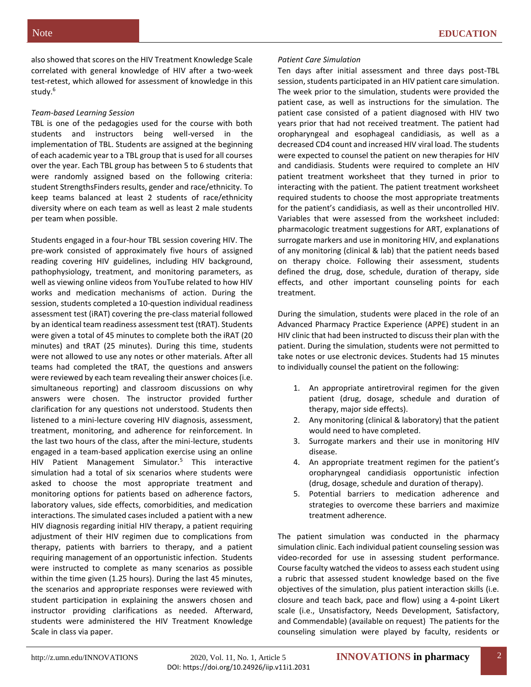also showed that scores on the HIV Treatment Knowledge Scale correlated with general knowledge of HIV after a two-week test-retest, which allowed for assessment of knowledge in this study.<sup>6</sup>

## *Team-based Learning Session*

TBL is one of the pedagogies used for the course with both students and instructors being well-versed in the implementation of TBL. Students are assigned at the beginning of each academic year to a TBL group that is used for all courses over the year. Each TBL group has between 5 to 6 students that were randomly assigned based on the following criteria: student StrengthsFinders results, gender and race/ethnicity. To keep teams balanced at least 2 students of race/ethnicity diversity where on each team as well as least 2 male students per team when possible.

Students engaged in a four-hour TBL session covering HIV. The pre-work consisted of approximately five hours of assigned reading covering HIV guidelines, including HIV background, pathophysiology, treatment, and monitoring parameters, as well as viewing online videos from YouTube related to how HIV works and medication mechanisms of action. During the session, students completed a 10-question individual readiness assessment test (iRAT) covering the pre-class material followed by an identical team readiness assessment test (tRAT). Students were given a total of 45 minutes to complete both the iRAT (20 minutes) and tRAT (25 minutes). During this time, students were not allowed to use any notes or other materials. After all teams had completed the tRAT, the questions and answers were reviewed by each team revealing their answer choices (i.e. simultaneous reporting) and classroom discussions on why answers were chosen. The instructor provided further clarification for any questions not understood. Students then listened to a mini-lecture covering HIV diagnosis, assessment, treatment, monitoring, and adherence for reinforcement. In the last two hours of the class, after the mini-lecture, students engaged in a team-based application exercise using an online HIV Patient Management Simulator.<sup>5</sup> This interactive simulation had a total of six scenarios where students were asked to choose the most appropriate treatment and monitoring options for patients based on adherence factors, laboratory values, side effects, comorbidities, and medication interactions. The simulated cases included a patient with a new HIV diagnosis regarding initial HIV therapy, a patient requiring adjustment of their HIV regimen due to complications from therapy, patients with barriers to therapy, and a patient requiring management of an opportunistic infection. Students were instructed to complete as many scenarios as possible within the time given (1.25 hours). During the last 45 minutes, the scenarios and appropriate responses were reviewed with student participation in explaining the answers chosen and instructor providing clarifications as needed. Afterward, students were administered the HIV Treatment Knowledge Scale in class via paper.

## *Patient Care Simulation*

Ten days after initial assessment and three days post-TBL session, students participated in an HIV patient care simulation. The week prior to the simulation, students were provided the patient case, as well as instructions for the simulation. The patient case consisted of a patient diagnosed with HIV two years prior that had not received treatment. The patient had oropharyngeal and esophageal candidiasis, as well as a decreased CD4 count and increased HIV viral load. The students were expected to counsel the patient on new therapies for HIV and candidiasis. Students were required to complete an HIV patient treatment worksheet that they turned in prior to interacting with the patient. The patient treatment worksheet required students to choose the most appropriate treatments for the patient's candidiasis, as well as their uncontrolled HIV. Variables that were assessed from the worksheet included: pharmacologic treatment suggestions for ART, explanations of surrogate markers and use in monitoring HIV, and explanations of any monitoring (clinical & lab) that the patient needs based on therapy choice. Following their assessment, students defined the drug, dose, schedule, duration of therapy, side effects, and other important counseling points for each treatment.

During the simulation, students were placed in the role of an Advanced Pharmacy Practice Experience (APPE) student in an HIV clinic that had been instructed to discuss their plan with the patient. During the simulation, students were not permitted to take notes or use electronic devices. Students had 15 minutes to individually counsel the patient on the following:

- 1. An appropriate antiretroviral regimen for the given patient (drug, dosage, schedule and duration of therapy, major side effects).
- 2. Any monitoring (clinical & laboratory) that the patient would need to have completed.
- 3. Surrogate markers and their use in monitoring HIV disease.
- 4. An appropriate treatment regimen for the patient's oropharyngeal candidiasis opportunistic infection (drug, dosage, schedule and duration of therapy).
- 5. Potential barriers to medication adherence and strategies to overcome these barriers and maximize treatment adherence.

The patient simulation was conducted in the pharmacy simulation clinic. Each individual patient counseling session was video-recorded for use in assessing student performance. Course faculty watched the videos to assess each student using a rubric that assessed student knowledge based on the five objectives of the simulation, plus patient interaction skills (i.e. closure and teach back, pace and flow) using a 4-point Likert scale (i.e., Unsatisfactory, Needs Development, Satisfactory, and Commendable) (available on request) The patients for the counseling simulation were played by faculty, residents or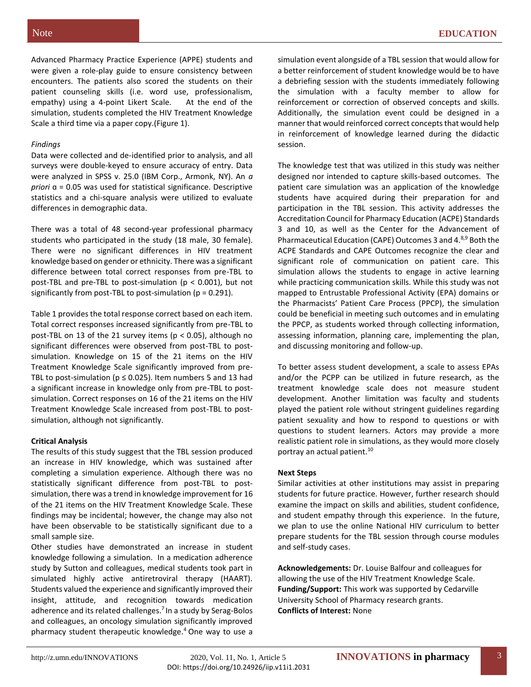Advanced Pharmacy Practice Experience (APPE) students and were given a role-play guide to ensure consistency between encounters. The patients also scored the students on their patient counseling skills (i.e. word use, professionalism, empathy) using a 4-point Likert Scale. At the end of the simulation, students completed the HIV Treatment Knowledge Scale a third time via a paper copy.(Figure 1).

## *Findings*

Data were collected and de-identified prior to analysis, and all surveys were double-keyed to ensure accuracy of entry. Data were analyzed in SPSS v. 25.0 (IBM Corp., Armonk, NY). An *a priori* ɑ = 0.05 was used for statistical significance. Descriptive statistics and a chi-square analysis were utilized to evaluate differences in demographic data.

There was a total of 48 second-year professional pharmacy students who participated in the study (18 male, 30 female). There were no significant differences in HIV treatment knowledge based on gender or ethnicity. There was a significant difference between total correct responses from pre-TBL to post-TBL and pre-TBL to post-simulation (p < 0.001), but not significantly from post-TBL to post-simulation ( $p = 0.291$ ).

Table 1 provides the total response correct based on each item. Total correct responses increased significantly from pre-TBL to post-TBL on 13 of the 21 survey items ( $p < 0.05$ ), although no significant differences were observed from post-TBL to postsimulation. Knowledge on 15 of the 21 items on the HIV Treatment Knowledge Scale significantly improved from pre-TBL to post-simulation ( $p \le 0.025$ ). Item numbers 5 and 13 had a significant increase in knowledge only from pre-TBL to postsimulation. Correct responses on 16 of the 21 items on the HIV Treatment Knowledge Scale increased from post-TBL to postsimulation, although not significantly.

#### **Critical Analysis**

The results of this study suggest that the TBL session produced an increase in HIV knowledge, which was sustained after completing a simulation experience. Although there was no statistically significant difference from post-TBL to postsimulation, there was a trend in knowledge improvement for 16 of the 21 items on the HIV Treatment Knowledge Scale. These findings may be incidental; however, the change may also not have been observable to be statistically significant due to a small sample size.

Other studies have demonstrated an increase in student knowledge following a simulation. In a medication adherence study by Sutton and colleagues, medical students took part in simulated highly active antiretroviral therapy (HAART). Students valued the experience and significantly improved their insight, attitude, and recognition towards medication adherence and its related challenges.<sup>7</sup> In a study by Serag-Bolos and colleagues, an oncology simulation significantly improved pharmacy student therapeutic knowledge.<sup>4</sup> One way to use a

simulation event alongside of a TBL session that would allow for a better reinforcement of student knowledge would be to have a debriefing session with the students immediately following the simulation with a faculty member to allow for reinforcement or correction of observed concepts and skills. Additionally, the simulation event could be designed in a manner that would reinforced correct concepts that would help in reinforcement of knowledge learned during the didactic session.

The knowledge test that was utilized in this study was neither designed nor intended to capture skills-based outcomes. The patient care simulation was an application of the knowledge students have acquired during their preparation for and participation in the TBL session. This activity addresses the Accreditation Council for Pharmacy Education (ACPE) Standards 3 and 10, as well as the Center for the Advancement of Pharmaceutical Education (CAPE) Outcomes 3 and 4.8,9 Both the ACPE Standards and CAPE Outcomes recognize the clear and significant role of communication on patient care. This simulation allows the students to engage in active learning while practicing communication skills. While this study was not mapped to Entrustable Professional Activity (EPA) domains or the Pharmacists' Patient Care Process (PPCP), the simulation could be beneficial in meeting such outcomes and in emulating the PPCP, as students worked through collecting information, assessing information, planning care, implementing the plan, and discussing monitoring and follow-up.

To better assess student development, a scale to assess EPAs and/or the PCPP can be utilized in future research, as the treatment knowledge scale does not measure student development. Another limitation was faculty and students played the patient role without stringent guidelines regarding patient sexuality and how to respond to questions or with questions to student learners. Actors may provide a more realistic patient role in simulations, as they would more closely portray an actual patient.<sup>10</sup>

#### **Next Steps**

Similar activities at other institutions may assist in preparing students for future practice. However, further research should examine the impact on skills and abilities, student confidence, and student empathy through this experience. In the future, we plan to use the online National HIV curriculum to better prepare students for the TBL session through course modules and self-study cases.

**Acknowledgements:** Dr. Louise Balfour and colleagues for allowing the use of the HIV Treatment Knowledge Scale. **Funding/Support:** This work was supported by Cedarville University School of Pharmacy research grants. **Conflicts of Interest:** None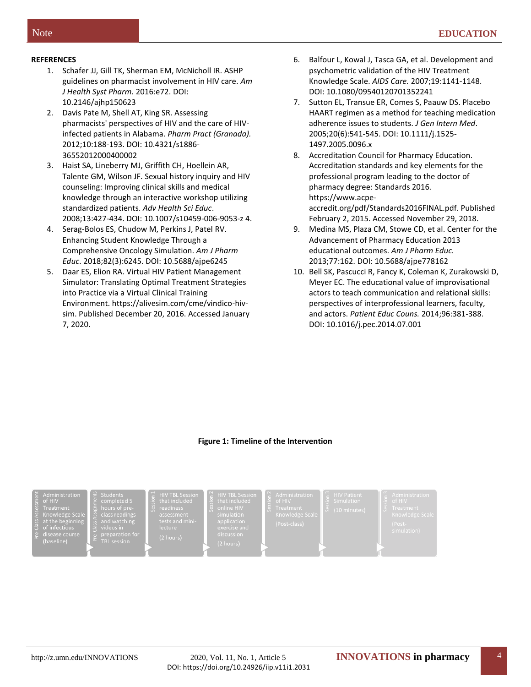# **REFERENCES**

- 1. Schafer JJ, Gill TK, Sherman EM, McNicholl IR. ASHP guidelines on pharmacist involvement in HIV care. *Am J Health Syst Pharm.* 2016:e72. DOI: [10.2146/ajhp150623](https://doi-org.cedarville.ohionet.org/10.2146/ajhp150623)
- 2. Davis Pate M, Shell AT, King SR. Assessing pharmacists' perspectives of HIV and the care of HIVinfected patients in Alabama. *Pharm Pract (Granada).* 2012;10:188-193. DOI: 10.4321/s1886- 36552012000400002
- 3. Haist SA, Lineberry MJ, Griffith CH, Hoellein AR, Talente GM, Wilson JF. Sexual history inquiry and HIV counseling: Improving clinical skills and medical knowledge through an interactive workshop utilizing standardized patients. *Adv Health Sci Educ*. 2008;13:427-434. DOI: 10.1007/s10459-006-9053-z 4.
- 4. Serag-Bolos ES, Chudow M, Perkins J, Patel RV. Enhancing Student Knowledge Through a Comprehensive Oncology Simulation. *Am J Pharm Educ*. 2018;82(3):6245. DOI: 10.5688/ajpe6245
- 5. Daar ES, Elion RA. Virtual HIV Patient Management Simulator: Translating Optimal Treatment Strategies into Practice via a Virtual Clinical Training Environment. https://alivesim.com/cme/vindico-hivsim. Published December 20, 2016. Accessed January 7, 2020.
- 6. Balfour L, Kowal J, Tasca GA, et al. Development and psychometric validation of the HIV Treatment Knowledge Scale. *AIDS Care.* 2007;19:1141-1148. DOI: 10.1080/09540120701352241
- 7. Sutton EL, Transue ER, Comes S, Paauw DS. Placebo HAART regimen as a method for teaching medication adherence issues to students. *J Gen Intern Med*. 2005;20(6):541-545. DOI: 10.1111/j.1525- 1497.2005.0096.x
- 8. Accreditation Council for Pharmacy Education. Accreditation standards and key elements for the professional program leading to the doctor of pharmacy degree: Standards 2016*.* https://www.acpeaccredit.org/pdf/Standards2016FINAL.pdf. Published February 2, 2015. Accessed November 29, 2018.
- 9. Medina MS, Plaza CM, Stowe CD, et al. Center for the Advancement of Pharmacy Education 2013 educational outcomes. *Am J Pharm Educ.* 2013;77:162. DOI: 10.5688/ajpe778162
- 10. Bell SK, Pascucci R, Fancy K, Coleman K, Zurakowski D, Meyer EC. The educational value of improvisational actors to teach communication and relational skills: perspectives of interprofessional learners, faculty, and actors. *Patient Educ Couns.* 2014;96:381-388. DOI: 10.1016/j.pec.2014.07.001

# **Figure 1: Timeline of the Intervention**